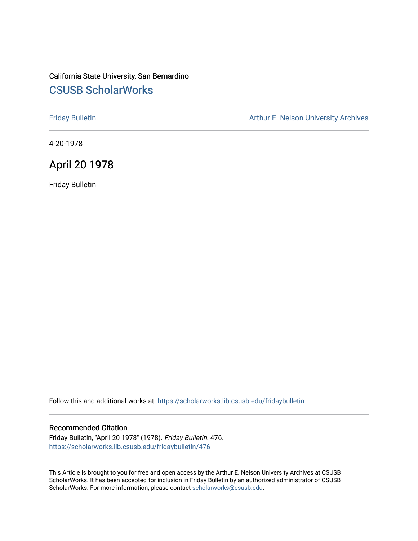# California State University, San Bernardino [CSUSB ScholarWorks](https://scholarworks.lib.csusb.edu/)

[Friday Bulletin](https://scholarworks.lib.csusb.edu/fridaybulletin) **Arthur E. Nelson University Archives** Arthur E. Nelson University Archives

4-20-1978

# April 20 1978

Friday Bulletin

Follow this and additional works at: [https://scholarworks.lib.csusb.edu/fridaybulletin](https://scholarworks.lib.csusb.edu/fridaybulletin?utm_source=scholarworks.lib.csusb.edu%2Ffridaybulletin%2F476&utm_medium=PDF&utm_campaign=PDFCoverPages)

## Recommended Citation

Friday Bulletin, "April 20 1978" (1978). Friday Bulletin. 476. [https://scholarworks.lib.csusb.edu/fridaybulletin/476](https://scholarworks.lib.csusb.edu/fridaybulletin/476?utm_source=scholarworks.lib.csusb.edu%2Ffridaybulletin%2F476&utm_medium=PDF&utm_campaign=PDFCoverPages)

This Article is brought to you for free and open access by the Arthur E. Nelson University Archives at CSUSB ScholarWorks. It has been accepted for inclusion in Friday Bulletin by an authorized administrator of CSUSB ScholarWorks. For more information, please contact [scholarworks@csusb.edu.](mailto:scholarworks@csusb.edu)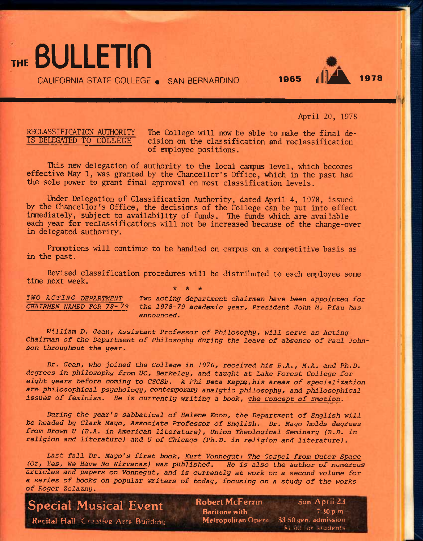THE BULLETIN

CALIFORNIA STATE COLLEGE . SAN BERNARDINO 1965



April 20, 1978

RECLASSIFICATION AUTHORITY The College will now be able to make the final de-<br>IS DELEGATED TO COLLEGE cision on the classification and reclassification cision on the classification and reclassification of enployee positions.

This new delegation of authority to the local canpus level, which becomes effective May 1, was granted by the Chancellor's Office, which in the past had the sole power to grant final approval on most classification levels.

Under Delegation of Classification Authority, dated April 4, 1978, issued by the Chancellor's Office, the decisions of the College can be put into effect immediately, subject to availability of funds. The funds which are available each year for reclassifications will not be increased because of the change-over in delegated authority.

Promotions will continue to be handled on campus on a competitive basis as in the past.

Revised classification procedures will be distributed to each employee some time next week. *\* is -k* 

*TWO ACTING DEPARTMENT Two acting department chairmen have been appointed for CHAIRMEN NAMED FOR 78-79 the 1978-79 academic* year. *President John M. Pfau has announced.* 

William D. Gean, Assistant Professor of Philosophy, will serve as Acting *Chairman of the Department of Philosophy during the leave of absence of Paul Johnson throughout the year.* 

*Dr. Gean, who joined the College in 1976, received his B.A., M.A. and Ph.D. degrees in philosophy from UC, Berkeley, and taught at Lake Forest College for eight years before coming to CSCSB, A Phi Beta Kappe/his areas of specialization are philosophical psychology, contemporary analytic philosophy, and philosophical issues of feminism. He is currently writing a book. The Concept of Emotion.* 

*During the year's sabbatical of Helena Koon, the Department of English will be headed by Clark Mayo, Associate Professor of English. Dr. Mayo holds degrees fjrom Brown U {B.A. in American literature), Union Theological* Seminary *(B.D. in religion and literature) and U of Chicago (Ph.D. in religion and literature).* 

Last fall Dr. Mayo's first book, Kurt Vonnegut: The Gospel from Outer Space *(Or, Yes, We Have No Nirvanas) was published. He is also the author of numerous articles and papers on Vonnegut, and is currently at work on a second volume for a series of books on popular writers of today, focusing on a study of the works of Roger Zelazny.* 

# **Special Musical Event**

Recital Hall, Conative Arrs Building

Robert McFerrin Sun. April 23 **Baritone with 7 30 pm Metropolitan** Opera \$3.50 qen. admission

 $$i$$   $@0$  : or  $$t$$ idents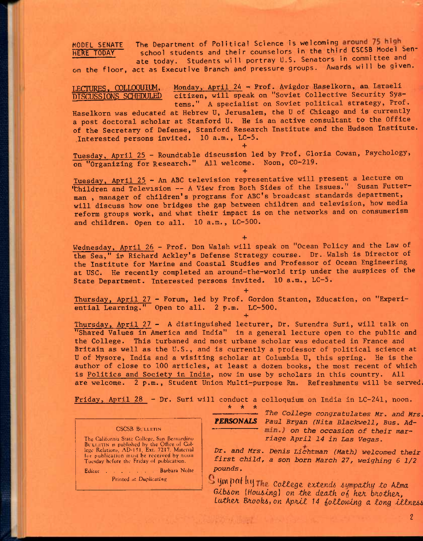MODEL SENATE The Department of Political Science is welcoming around 75 high<br>HERE TODAY school students and their counselors in the third CSCSB Model school students and their counselors in the third CSCSB Model Senate today. Students will portray U.S. Senators in committee and

on the floor, act as Executive Branch and pressure groups. Awards will be given.

LECTURES, COLLOQUIUM, Monday, April 24 - Prof. Avigdor Haselkorn, an Israeli **DISCUSSIONS SCHEDULED citizen, will speak on "Soviet Collective Security Sys**tems." A specialist on Soviet political strategy, Prof.

Haselkorn was educated at Hebrew U, Jerusalem, the U of Chicago and is currently a post doctoral scholar at Stanford U, He is an active consultant to the Office of the Secretary of Defense, Stanford Research Institute and the Hudson Institute. .Interested persons invited. 10 a.m., LC-5.

**+**  Tuesday, April 25 - Roundtable discussion led by Prof, Gloria Cowan, Psychology, on "Organizing for Research." All welcome. Noon, CO-219.

**+** 

Tuesday, April 25 - An ABC television representative will present a lecture on 'Children and Television -- A View from Both Sides of the Issues." Susan Futterman, manager of children's programs for ABC's broadcast standards department, will discuss how one bridges the gap between children and television, how media reform groups work, and what their impact is on the networks and on consumerism and children. Open to all. 10 a.m., LC-500.

**+**  Wednesday, April 26 - Prof. Don Walsh will speak on "Ocean Policy and the Law of the Sea," in Richard Ackley's Defense Strategy course. Dr. Walsh is Director of the Institute for Marine and Coastal Studies and Professor of Ocean Engineering at **use.** He recently completed an around-the-world trip under the auspices of the State Department. Interested persons invited. 10 a.m., LC-5.

**+** 

**+** 

Thursday, April 27 - Forum, led by Prof. Gordon Stanton, Education, on "Experiential Learning." Open to all. 2 p.m. LC-500.

Thursday, April 27 - A distinguished lecturer, Dr. Surendra Suri, will talk on "Shared Values in America and India" in a general lecture open to the public and the College. This turbaned and most urbane scholar was educated in France and Britain as well as the U.S., and is currently a professor of political science at U of Mysore, India and a visiting scholar at Columbia U, this spring. He is the author of close to 100 articles, at least a dozen books, the most recent of which is Politics and Society in India, now in use by scholars in this country. All are welcome. 2 p.m.. Student Union Multi-purpose Rm. Refreshments will be served.

Friday, April 28 - Dr. Suri will conduct a colloquium on India in LC-241, noon.

CSCSB BL LLETIN

The Calitornia State College, San Bernardino Bl'LLETIN is published by the Office of Col-<br>lege Relations, AD-151, Ext. 7217. Material for publication must be received by noon Tuesday before the Friday of publication.

Editor Barbara Nolte

Printed at Duplicating

*\* \* \** 

*The College congratulates Mr. and Mrs. PERSONALS Paul Bryan (Nita Blackwell, Bus. Adon the occasion of their* marriage *April 14 in Las Vegas.* 

*Dr. and Mrs. Denis Lichtman (Math) welcomed their first child, a son born March 27, weighing 6 1/2 pounds.* 

Sympathy the college extends sympathy to Alma *Gibson {Housing} on the death of her brother, Luthen Bnook6, on Apnti 14 ^oiZowtng a tong tZtne66* 

*2*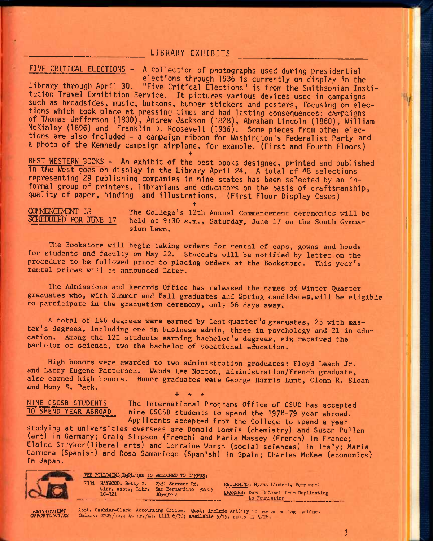## **LIBRARY EXHIBITS**

## **FIVE CRITICAL ELECTIONS - A Collection of photographs used during presidential**

**elections through 1936 1s currently on display in the Library through April 30. "Five Critical Elections" is from the Smithsonian Institution Travel Exhibition Service. It pictures various devices used in campaigns such as broadsides, music, buttons, bumper stickers and posters, focusing on elections which took place at pressing times and had lasting consequences: campaicns of Thomas Jefferson (1800), Andrew Jackson (1828), Abraham Lincoln (I860), William McKinley (1896) and Franklin D. Roosevelt (1936). Some pieces from other elections are also included - a campaign ribbon for Washington's Federalist Party and a photo of the Kennedy campaign airplane, for example. (First and Fourth Floors)** 

**BEST WESTERN BOOKS - An exhibit of the best books designed, printed and published in the West goes on display in the Library April 24. A total of 48 selections representing 29 publishing companies in nine states has been selected by an informal group of printers, librarians and educators on the basis of craftsmanship, quality of paper, binding and illustrations. (First Floor Display Cases)** 

**+** 

**+**   $COMMENCHMENT IS$  The College's 12th Annual Commencement ceremonies will be  $SCHENDUED$  FOR JUNE 17 held at 9:30 a.m., Saturday, June 17 on the South Cymnaheld at 9:30 a.m., Saturday, June 17 on the South Gymnasium Lawn.

The Bookstore will begin taking orders for rental of caps, gowns and hoods for students and faculty on May 22. Students will be notified by letter on the procedure to be followed prior to placing orders at the Bookstore. This year's rental prices will be announced later.

Ihe Admissions and Records Office has released the names of Winter Quarter graduates who, with Summer and fall graduates and Spring candidates,will be eligible to participate in the graduation ceremony, only 56 days away.

A total of 146 degrees were earned by last quarter's graduates, 25 with master's degrees, including one in business admin, three in psychology and 21 in education. Among the 121 students earning bachelor's degrees, six received the bachelor of science, two the bachelor of vocational education.

High honors were awarded to two administration graduates: Floyd Leach Jr. and Larry Eugene Patterson. Wanda Lee Norton, administration/French graduate, also earned high honors. Honor graduates were George Harris Lunt, Glenn R. Sloan and Mony S. Park.  $\star$   $\star$   $\star$ 

NINE CSCSB STUDENTS<br>TO SPEND YEAR ABROAD in the CSCSB students to spend the 1978-79 year phroad nine CSCSB students to spend the 1978-79 year abroad. Applicants accepted from the College to spend a year

studying at universities overseas are Donald Loomis (chemistry) and Susan Pullen (art) in Germany; Craig Simpson (French) and Maria Massey (French) in France; Elaine Stryker(1ibera1 arts) and Lorraine Warsh (social sciences) in Italy; Maria Carmona (Spanish) and Rosa Samanlego (Spanish) in Spain; Charles McKee (economics) in Japan.



THE FOLLOWING EMPLOYEE IS WELCOMED TO CAMPUS:

7331 HAYWOOD, Betty M. 2350 Serrano Rd. RETURNING: Myrna Lindahl, Personnel.<br>Cler. Asst., Libr. San Bernardino 92405 Summers. Resp. 2008 Cler. Asst., Libr. San Bernardino 92405<br>1C-321 . 889-3982

CHANGES: Dora DeLoach from Duplicating to Foundation

*LMFIX>YMEST* Asst. Cashier-Clerk, Accounting Office. Qual! include ability to use an adding machine. *OPPORTUNITIES* Salary: \$729/mo.5 40 hr./wk. till 6/30; available 5/l5; apply by 4/28.

**3**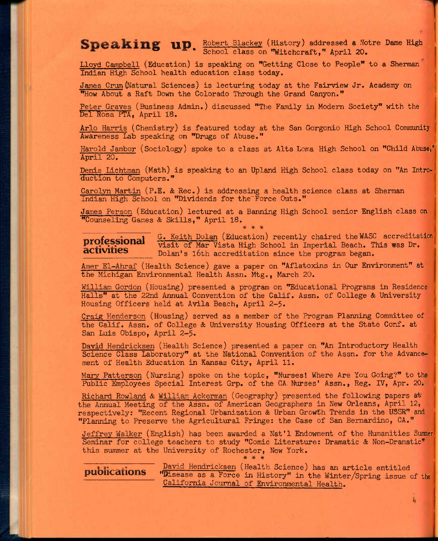# **Peaking up.** Robert Blackey (History) addressed a Notre Dame High School class on "Witchcraft," April 20.

**Lloyd Campbell (Education) is speaking on "Getting Close to People" to a Sherman Indian High School health education class today.** 

**James Crum (Natural Sciences) is lecturing today at the Fairview Jr. Academy on "How About a Raft Down the Colorado Through the Grand Canyon."** 

**Peter Graves (Business Admin.) discussed "The Family in Modem Society" with the Del Rosa PTA, April 18.** 

**Arlo Harris (Chemistry) is featured today at the San Gorgonio High School Community Awareness Lab speaking on "Drugs of Abuse."** 

Harold Jambor (Sociology) spoke to a class at Alta Loma High School on "Child Abuse," **April 20.** 

**Denis Lichtman (Math) is speaking to an Upland High School class today on "An Introduction to Computers."** 

**Carolyn Martin (P.E. & Rec.) is addressing a health science class at Sherman Indian High School on \*\*Dividends for the'Force Outs."** 

**James Person (Education) lectured at a Banning High School senior English class on "Counseling Games & Skills," April 18,**  \* \* \*

**rfessional** G. Keith Dolan (Education) recently chaired the WASC accreditation **professional visit of Mar Vista High School in Imperial Beach. This was Dr.** *activities* Dolan's 16th accreditation since the program began.

**Amer El-Ahraf (Health Science) gave a paper on "Aflatoxins in Our Environment" at the Michigan Environmental Health Assn. Mtg., March 20.** 

**William Gordon (Housing) presented a program on "Educational Programs in Residence Halls" at the 22nd Annual Convention of the Calif. Assn. of College & University Housing Officers held at Avila Beach, April 2-5.** 

**Craig Henderson (Housing) served as a member of the Program Planning Committee of the Calif. Assn. of College & University Housing Officers at the State Conf. at San Luis Obispo, April 2-5•** 

**David Hendricksen (Health Science) presented a paper on "An Introductory Health Science Class Laboratory" at the National Convention of the Assn. for the Advancement of Health Education in Kansas City, April 11.** 

**Mary Patterson (Nursing) spoke on the topic, "Nurses! Where Are You Going?" to the Public Employees Special Interest Grp. of the CA. Nurses' Assn., Reg. IV, Apr. 20.** 

**Richard Rowland & William Ackerman (Geography) presented the following papers ai'**  the Annual Meeting of the Assn. of American Geographers in New Orleans, April 12, **respectively: "Recent Regional Urbanization & Urban Growth Trends In the USSR" and "Planning to Preserve the Agricultural Fringe: the Case of San Bernardino, CA."** 

**Jeffrey Walker (English) has been awarded a Nat'l Endowment of the Humanities Summer Seminar for college teachers to study "Comic Literature: Dramatic & Non-Dramatic\*\* this summer at the University of Rochester, New York.** 

\* \* \*

**David Hendricksen (Health Science) has an article entitled puoiicaiions "Disease as a Force in History" in the Winter/Spring issue of the California Journal of Environmental Health.**